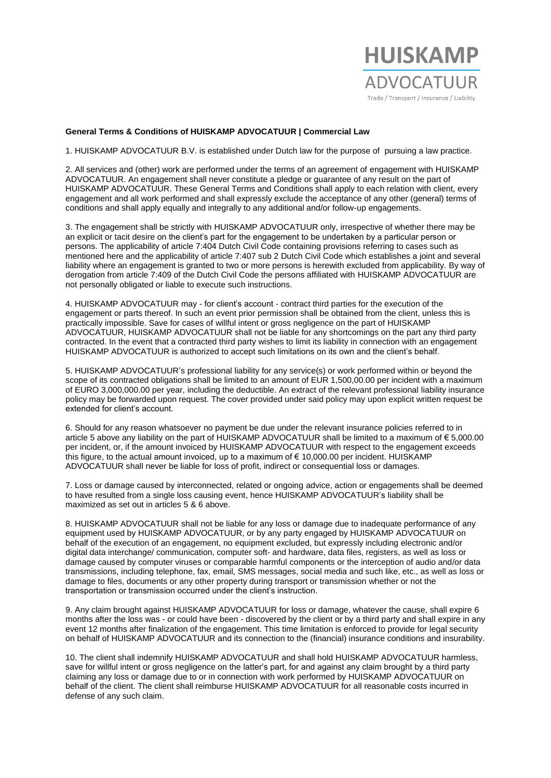

## **General Terms & Conditions of HUISKAMP ADVOCATUUR | Commercial Law**

1. HUISKAMP ADVOCATUUR B.V. is established under Dutch law for the purpose of pursuing a law practice.

2. All services and (other) work are performed under the terms of an agreement of engagement with HUISKAMP ADVOCATUUR. An engagement shall never constitute a pledge or guarantee of any result on the part of HUISKAMP ADVOCATUUR. These General Terms and Conditions shall apply to each relation with client, every engagement and all work performed and shall expressly exclude the acceptance of any other (general) terms of conditions and shall apply equally and integrally to any additional and/or follow-up engagements.

3. The engagement shall be strictly with HUISKAMP ADVOCATUUR only, irrespective of whether there may be an explicit or tacit desire on the client's part for the engagement to be undertaken by a particular person or persons. The applicability of article 7:404 Dutch Civil Code containing provisions referring to cases such as mentioned here and the applicability of article 7:407 sub 2 Dutch Civil Code which establishes a joint and several liability where an engagement is granted to two or more persons is herewith excluded from applicability. By way of derogation from article 7:409 of the Dutch Civil Code the persons affiliated with HUISKAMP ADVOCATUUR are not personally obligated or liable to execute such instructions.

4. HUISKAMP ADVOCATUUR may - for client's account - contract third parties for the execution of the engagement or parts thereof. In such an event prior permission shall be obtained from the client, unless this is practically impossible. Save for cases of willful intent or gross negligence on the part of HUISKAMP ADVOCATUUR, HUISKAMP ADVOCATUUR shall not be liable for any shortcomings on the part any third party contracted. In the event that a contracted third party wishes to limit its liability in connection with an engagement HUISKAMP ADVOCATUUR is authorized to accept such limitations on its own and the client's behalf.

5. HUISKAMP ADVOCATUUR's professional liability for any service(s) or work performed within or beyond the scope of its contracted obligations shall be limited to an amount of EUR 1,500,00.00 per incident with a maximum of EURO 3,000,000.00 per year, including the deductible. An extract of the relevant professional liability insurance policy may be forwarded upon request. The cover provided under said policy may upon explicit written request be extended for client's account.

6. Should for any reason whatsoever no payment be due under the relevant insurance policies referred to in article 5 above any liability on the part of HUISKAMP ADVOCATUUR shall be limited to a maximum of € 5,000.00 per incident, or, if the amount invoiced by HUISKAMP ADVOCATUUR with respect to the engagement exceeds this figure, to the actual amount invoiced, up to a maximum of € 10,000.00 per incident. HUISKAMP ADVOCATUUR shall never be liable for loss of profit, indirect or consequential loss or damages.

7. Loss or damage caused by interconnected, related or ongoing advice, action or engagements shall be deemed to have resulted from a single loss causing event, hence HUISKAMP ADVOCATUUR's liability shall be maximized as set out in articles 5 & 6 above.

8. HUISKAMP ADVOCATUUR shall not be liable for any loss or damage due to inadequate performance of any equipment used by HUISKAMP ADVOCATUUR, or by any party engaged by HUISKAMP ADVOCATUUR on behalf of the execution of an engagement, no equipment excluded, but expressly including electronic and/or digital data interchange/ communication, computer soft- and hardware, data files, registers, as well as loss or damage caused by computer viruses or comparable harmful components or the interception of audio and/or data transmissions, including telephone, fax, email, SMS messages, social media and such like, etc., as well as loss or damage to files, documents or any other property during transport or transmission whether or not the transportation or transmission occurred under the client's instruction.

9. Any claim brought against HUISKAMP ADVOCATUUR for loss or damage, whatever the cause, shall expire 6 months after the loss was - or could have been - discovered by the client or by a third party and shall expire in any event 12 months after finalization of the engagement. This time limitation is enforced to provide for legal security on behalf of HUISKAMP ADVOCATUUR and its connection to the (financial) insurance conditions and insurability.

10. The client shall indemnify HUISKAMP ADVOCATUUR and shall hold HUISKAMP ADVOCATUUR harmless, save for willful intent or gross negligence on the latter's part, for and against any claim brought by a third party claiming any loss or damage due to or in connection with work performed by HUISKAMP ADVOCATUUR on behalf of the client. The client shall reimburse HUISKAMP ADVOCATUUR for all reasonable costs incurred in defense of any such claim.